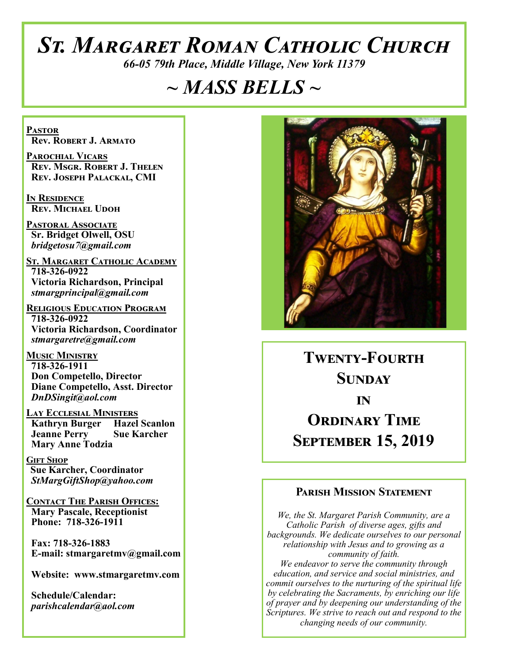# *St. Margaret Roman Catholic Church*

*66-05 79th Place, Middle Village, New York 11379*

# *~ MASS BELLS ~*

**Pastor Rev. Robert J. Armato**

**Parochial Vicars Rev. Msgr. Robert J. Thelen Rev. Joseph Palackal, CMI**

**In Residence Rev. Michael Udoh**

**Pastoral Associate Sr. Bridget Olwell, OSU**  *bridgetosu7@gmail.com*

**St. Margaret Catholic Academy 718-326-0922 Victoria Richardson, Principal**  *stmargprincipal@gmail.com*

**Religious Education Program 718-326-0922 Victoria Richardson, Coordinator** *stmargaretre@gmail.com*

**Music Ministry 718-326-1911 Don Competello, Director Diane Competello, Asst. Director** *DnDSingit@aol.com*

**Lay Ecclesial Ministers Kathryn Burger Hazel Scanlon**<br>**Jeanne Perry Sue Karcher Jeanne Perry Mary Anne Todzia**

**Gift Shop Sue Karcher, Coordinator** *StMargGiftShop@yahoo.com*

**Contact The Parish Offices: Mary Pascale, Receptionist Phone: 718-326-1911** 

 **Fax: 718-326-1883 E-mail: stmargaretmv@gmail.com**

 **Website: www.stmargaretmv.com**

 **Schedule/Calendar:** *parishcalendar@aol.com* 



**Twenty-Fourth Sunday in ORDINARY TIME September 15, 2019** 

#### **Parish Mission Statement**

*We, the St. Margaret Parish Community, are a Catholic Parish of diverse ages, gifts and backgrounds. We dedicate ourselves to our personal relationship with Jesus and to growing as a community of faith. We endeavor to serve the community through education, and service and social ministries, and commit ourselves to the nurturing of the spiritual life by celebrating the Sacraments, by enriching our life of prayer and by deepening our understanding of the Scriptures. We strive to reach out and respond to the changing needs of our community.*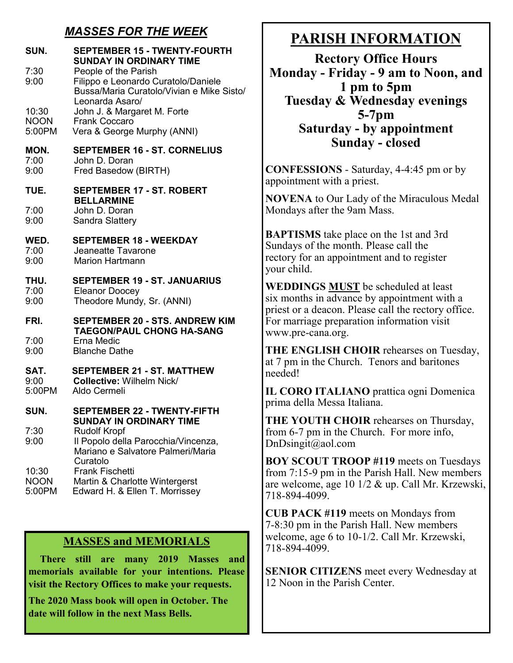### *MASSES FOR THE WEEK*

| <b>SEPTEMBER 15 - TWENTY-FOURTH</b><br><b>SUNDAY IN ORDINARY TIME</b><br>People of the Parish<br>Filippo e Leonardo Curatolo/Daniele<br>Bussa/Maria Curatolo/Vivian e Mike Sisto/<br>Leonarda Asaro/                                 |  |
|--------------------------------------------------------------------------------------------------------------------------------------------------------------------------------------------------------------------------------------|--|
| John J. & Margaret M. Forte<br>Frank Coccaro<br>Vera & George Murphy (ANNI)                                                                                                                                                          |  |
| <b>SEPTEMBER 16 - ST. CORNELIUS</b><br>John D. Doran<br>Fred Basedow (BIRTH)                                                                                                                                                         |  |
| <b>SEPTEMBER 17 - ST. ROBERT</b>                                                                                                                                                                                                     |  |
| <b>BELLARMINE</b><br>John D. Doran<br>Sandra Slattery                                                                                                                                                                                |  |
| <b>SEPTEMBER 18 - WEEKDAY</b><br>Jeaneatte Tavarone<br><b>Marion Hartmann</b>                                                                                                                                                        |  |
| <b>SEPTEMBER 19 - ST. JANUARIUS</b><br>Eleanor Doocey<br>Theodore Mundy, Sr. (ANNI)                                                                                                                                                  |  |
| <b>SEPTEMBER 20 - STS, ANDREW KIM</b>                                                                                                                                                                                                |  |
| <b>TAEGON/PAUL CHONG HA-SANG</b><br><b>Erna Medic</b><br><b>Blanche Dathe</b>                                                                                                                                                        |  |
| <b>SEPTEMBER 21 - ST. MATTHEW</b><br>Collective: Wilhelm Nick/<br>Aldo Cermeli                                                                                                                                                       |  |
| <b>SEPTEMBER 22 - TWENTY-FIFTH</b>                                                                                                                                                                                                   |  |
| SUNDAY IN ORDINARY TIME<br><b>Rudolf Kropf</b><br>Il Popolo della Parocchia/Vincenza,<br>Mariano e Salvatore Palmeri/Maria<br>Curatolo<br><b>Frank Fischetti</b><br>Martin & Charlotte Wintergerst<br>Edward H. & Ellen T. Morrissey |  |
|                                                                                                                                                                                                                                      |  |

#### **MASSES and MEMORIALS**

 **There still are many 2019 Masses and memorials available for your intentions. Please visit the Rectory Offices to make your requests.**

**The 2020 Mass book will open in October. The date will follow in the next Mass Bells.** 

# **PARISH INFORMATION**

**Rectory Office Hours Monday - Friday - 9 am to Noon, and 1 pm to 5pm Tuesday & Wednesday evenings 5-7pm Saturday - by appointment Sunday - closed**

**CONFESSIONS** - Saturday, 4-4:45 pm or by appointment with a priest.

**NOVENA** to Our Lady of the Miraculous Medal Mondays after the 9am Mass.

**BAPTISMS** take place on the 1st and 3rd Sundays of the month. Please call the rectory for an appointment and to register your child.

**WEDDINGS MUST** be scheduled at least six months in advance by appointment with a priest or a deacon. Please call the rectory office. For marriage preparation information visit www.pre-cana.org.

**THE ENGLISH CHOIR** rehearses on Tuesday, at 7 pm in the Church. Tenors and baritones needed!

**IL CORO ITALIANO** prattica ogni Domenica prima della Messa Italiana.

**THE YOUTH CHOIR** rehearses on Thursday, from 6-7 pm in the Church. For more info, DnDsingit@aol.com

**BOY SCOUT TROOP #119** meets on Tuesdays from 7:15-9 pm in the Parish Hall. New members are welcome, age 10 1/2 & up. Call Mr. Krzewski, 718-894-4099.

**CUB PACK #119** meets on Mondays from 7-8:30 pm in the Parish Hall. New members welcome, age 6 to 10-1/2. Call Mr. Krzewski, 718-894-4099.

**SENIOR CITIZENS** meet every Wednesday at 12 Noon in the Parish Center.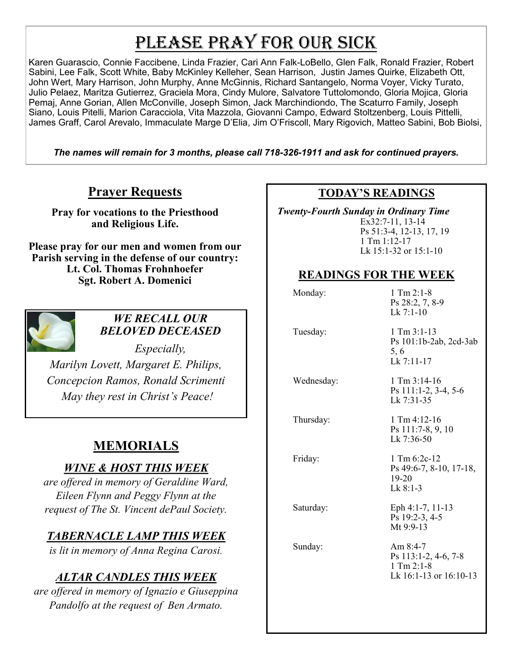# PLEASE PRAY FOR OUR SICK

Karen Guarascio, Connie Faccibene, Linda Frazier, Cari Ann Falk-LoBello, Glen Falk, Ronald Frazier, Robert Sabini, Lee Falk, Scott White, Baby McKinley Kelleher, Sean Harrison, Justin James Quirke, Elizabeth Ott, John Wert, Mary Harrison, John Murphy, Anne McGinnis, Richard Santangelo, Norma Voyer, Vicky Turato, Julio Pelaez, Maritza Gutierrez, Graciela Mora, Cindy Mulore, Salvatore Tuttolomondo, Gloria Mojica, Gloria Pemaj, Anne Gorian, Allen McConville, Joseph Simon, Jack Marchindiondo, The Scaturro Family, Joseph Siano, Louis Pitelli, Marion Caracciola, Vita Mazzola, Giovanni Campo, Edward Stoltzenberg, Louis Pittelli, James Graff, Carol Arevalo, Immaculate Marge D'Elia, Jim O'Friscoll, Mary Rigovich, Matteo Sabini, Bob Biolsi,

*The names will remain for 3 months, please call 718-326-1911 and ask for continued prayers.*

#### **Prayer Requests**

**Pray for vocations to the Priesthood and Religious Life.** 

**Please pray for our men and women from our Parish serving in the defense of our country: Lt. Col. Thomas Frohnhoefer Sgt. Robert A. Domenici** 



#### *WE RECALL OUR BELOVED DECEASED*

*Especially, Marilyn Lovett, Margaret E. Philips, Concepcion Ramos, Ronald Scrimenti May they rest in Christ's Peace!*

# **MEMORIALS**

#### *WINE & HOST THIS WEEK*

*are offered in memory of Geraldine Ward, Eileen Flynn and Peggy Flynn at the request of The St. Vincent dePaul Society.*

#### *TABERNACLE LAMP THIS WEEK*

*is lit in memory of Anna Regina Carosi.* 

## *ALTAR CANDLES THIS WEEK*

*are offered in memory of Ignazio e Giuseppina Pandolfo at the request of Ben Armato.*

#### **TODAY'S READINGS**

 *Twenty-Fourth Sunday in Ordinary Time*  Ex32:7-11, 13-14 Ps 51:3-4, 12-13, 17, 19 1 Tm 1:12-17 Lk 15:1-32 or 15:1-10

#### **READINGS FOR THE WEEK**

| Monday:    | $1$ Tm $2:1-8$<br>Ps 28:2, 7, 8-9<br>$Lk$ 7:1-10                                   |
|------------|------------------------------------------------------------------------------------|
| Tuesday:   | $1$ Tm $3:1-13$<br>Ps 101:1b-2ab, 2cd-3ab<br>5, 6<br>Lk 7:11-17                    |
| Wednesday: | $1$ Tm $3:14-16$<br>Ps 111:1-2, 3-4, 5-6<br>Lk 7:31-35                             |
| Thursday:  | 1 Tm 4:12-16<br>Ps 111:7-8, 9, 10<br>Lk 7:36-50                                    |
| Friday:    | $1 \text{ Tm} 6:2c-12$<br>Ps 49:6-7, 8-10, 17-18,<br>$19 - 20$<br>$Lk$ 8:1-3       |
| Saturday:  | Eph 4:1-7, 11-13<br>Ps 19:2-3, 4-5<br>Mt 9:9-13                                    |
| Sunday:    | Am $8:4-7$<br>Ps 113:1-2, 4-6, 7-8<br>$1$ Tm $2:1-8$<br>Lk $16:1-13$ or $16:10-13$ |
|            |                                                                                    |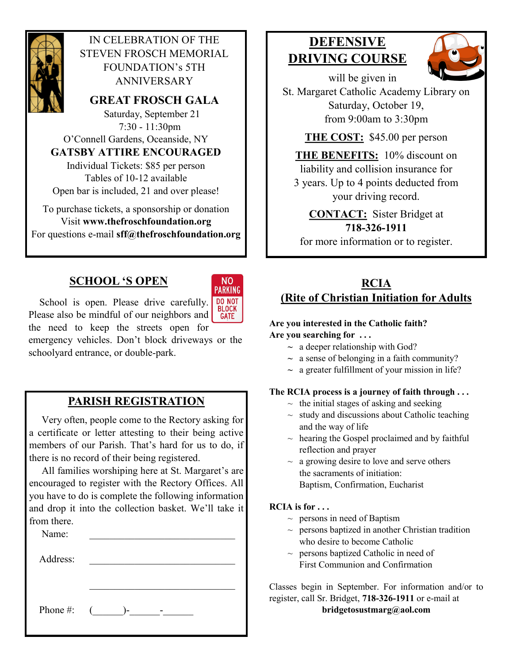

#### IN CELEBRATION OF THE STEVEN FROSCH MEMORIAL FOUNDATION's 5TH ANNIVERSARY

**GREAT FROSCH GALA**

 Saturday, September 21 7:30 - 11:30pm O'Connell Gardens, Oceanside, NY **GATSBY ATTIRE ENCOURAGED**

Individual Tickets: \$85 per person Tables of 10-12 available

Open bar is included, 21 and over please!

To purchase tickets, a sponsorship or donation Visit **www.thefroschfoundation.org** For questions e-mail **sff@thefroschfoundation.org**

### **SCHOOL 'S OPEN**



School is open. Please drive carefully. DO NOT Please also be mindful of our neighbors and **GATE** the need to keep the streets open for

emergency vehicles. Don't block driveways or the schoolyard entrance, or double-park.

## **PARISH REGISTRATION**

 Very often, people come to the Rectory asking for a certificate or letter attesting to their being active members of our Parish. That's hard for us to do, if there is no record of their being registered.

 All families worshiping here at St. Margaret's are encouraged to register with the Rectory Offices. All you have to do is complete the following information and drop it into the collection basket. We'll take it from there.

Name: Address: Phone #:  $($  )- -

# **DEFENSIVE DRIVING COURSE**



will be given in

St. Margaret Catholic Academy Library on Saturday, October 19, from 9:00am to 3:30pm

**THE COST:** \$45.00 per person

**THE BENEFITS:** 10% discount on liability and collision insurance for 3 years. Up to 4 points deducted from your driving record.

**CONTACT:** Sister Bridget at **718-326-1911** for more information or to register.

#### **RCIA (Rite of Christian Initiation for Adults**

#### **Are you interested in the Catholic faith? Are you searching for . . .**

- **~** a deeper relationship with God?
- $\sim$  a sense of belonging in a faith community?
- **~** a greater fulfillment of your mission in life?

#### **The RCIA process is a journey of faith through . . .**

- $\sim$  the initial stages of asking and seeking
- $\sim$  study and discussions about Catholic teaching and the way of life
- $\sim$  hearing the Gospel proclaimed and by faithful reflection and prayer
- $\sim$  a growing desire to love and serve others the sacraments of initiation: Baptism, Confirmation, Eucharist

#### **RCIA is for . . .**

- $\sim$  persons in need of Baptism
- $\sim$  persons baptized in another Christian tradition who desire to become Catholic
- $\sim$  persons baptized Catholic in need of First Communion and Confirmation

Classes begin in September. For information and/or to register, call Sr. Bridget, **718-326-1911** or e-mail at **bridgetosustmarg@aol.com**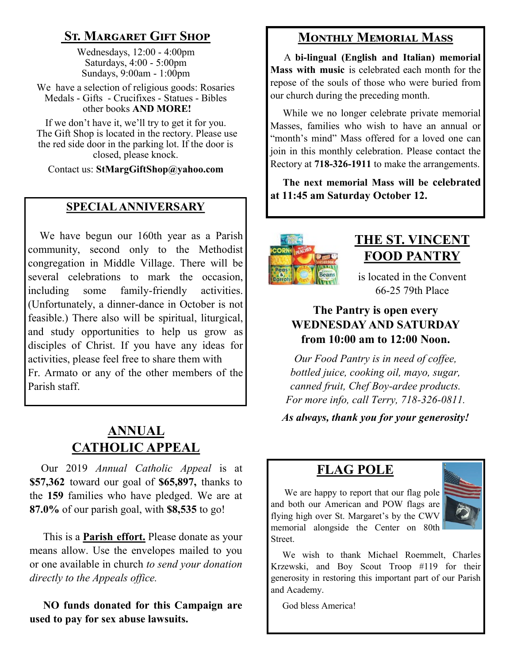## **St. Margaret Gift Shop**

Wednesdays, 12:00 - 4:00pm Saturdays, 4:00 - 5:00pm Sundays, 9:00am - 1:00pm

We have a selection of religious goods: Rosaries Medals - Gifts - Crucifixes - Statues - Bibles other books **AND MORE!**

If we don't have it, we'll try to get it for you. The Gift Shop is located in the rectory. Please use the red side door in the parking lot. If the door is closed, please knock.

Contact us: **StMargGiftShop@yahoo.com**

#### **SPECIAL ANNIVERSARY**

 We have begun our 160th year as a Parish community, second only to the Methodist congregation in Middle Village. There will be several celebrations to mark the occasion, including some family-friendly activities. (Unfortunately, a dinner-dance in October is not feasible.) There also will be spiritual, liturgical, and study opportunities to help us grow as disciples of Christ. If you have any ideas for activities, please feel free to share them with Fr. Armato or any of the other members of the Parish staff.

## **ANNUAL CATHOLIC APPEAL**

 Our 2019 *Annual Catholic Appeal* is at **\$57,362** toward our goal of **\$65,897,** thanks to the **159** families who have pledged. We are at **87.0%** of our parish goal, with **\$8,535** to go!

 This is a **Parish effort.** Please donate as your means allow. Use the envelopes mailed to you or one available in church *to send your donation directly to the Appeals office.*

 **NO funds donated for this Campaign are used to pay for sex abuse lawsuits.** 

## **Monthly Memorial Mass**

 A **bi-lingual (English and Italian) memorial Mass with music** is celebrated each month for the repose of the souls of those who were buried from our church during the preceding month.

 While we no longer celebrate private memorial Masses, families who wish to have an annual or "month's mind" Mass offered for a loved one can join in this monthly celebration. Please contact the Rectory at **718-326-1911** to make the arrangements.

 **The next memorial Mass will be celebrated at 11:45 am Saturday October 12.** 



# **THE ST. VINCENT FOOD PANTRY**

is located in the Convent 66-25 79th Place

#### **The Pantry is open every WEDNESDAY AND SATURDAY from 10:00 am to 12:00 Noon.**

*Our Food Pantry is in need of coffee, bottled juice, cooking oil, mayo, sugar, canned fruit, Chef Boy-ardee products. For more info, call Terry, 718-326-0811.*

*As always, thank you for your generosity!*

## **FLAG POLE**

We are happy to report that our flag pole and both our American and POW flags are flying high over St. Margaret's by the CWV memorial alongside the Center on 80th Street.



 We wish to thank Michael Roemmelt, Charles Krzewski, and Boy Scout Troop #119 for their generosity in restoring this important part of our Parish and Academy.

God bless America!